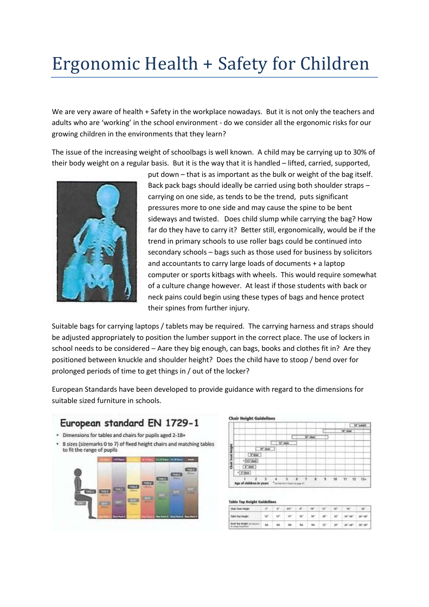## Ergonomic Health + Safety for Children

We are very aware of health + Safety in the workplace nowadays. But it is not only the teachers and adults who are 'working' in the school environment - do we consider all the ergonomic risks for our growing children in the environments that they learn?

The issue of the increasing weight of schoolbags is well known. A child may be carrying up to 30% of their body weight on a regular basis. But it is the way that it is handled – lifted, carried, supported,



put down – that is as important as the bulk or weight of the bag itself. Back pack bags should ideally be carried using both shoulder straps – carrying on one side, as tends to be the trend, puts significant pressures more to one side and may cause the spine to be bent sideways and twisted. Does child slump while carrying the bag? How far do they have to carry it? Better still, ergonomically, would be if the trend in primary schools to use roller bags could be continued into secondary schools – bags such as those used for business by solicitors and accountants to carry large loads of documents + a laptop computer or sports kitbags with wheels. This would require somewhat of a culture change however. At least if those students with back or neck pains could begin using these types of bags and hence protect their spines from further injury.

Suitable bags for carrying laptops / tablets may be required. The carrying harness and straps should be adjusted appropriately to position the lumber support in the correct place. The use of lockers in school needs to be considered – Aare they big enough, can bags, books and clothes fit in? Are they positioned between knuckle and shoulder height? Does the child have to stoop / bend over for prolonged periods of time to get things in / out of the locker?

European Standards have been developed to provide guidance with regard to the dimensions for suitable sized furniture in schools.





|  |                               |        |                 |        |   |    |                      | 1.18° (adult) |
|--|-------------------------------|--------|-----------------|--------|---|----|----------------------|---------------|
|  |                               |        |                 |        |   |    | 16 <sup>°</sup> clue |               |
|  |                               |        |                 | W' dat |   |    |                      |               |
|  |                               | U" day |                 |        |   |    |                      |               |
|  | 18" duty                      |        |                 |        |   |    |                      |               |
|  | Police                        |        |                 |        |   |    |                      |               |
|  | $-65°$ duff                   |        |                 |        |   |    |                      |               |
|  | $V$ dust                      |        |                 |        |   |    |                      |               |
|  | $+ 5°$ chán                   |        |                 |        |   |    |                      |               |
|  | з<br>Age of children in years |        | <b>IN EIROR</b> | а      | ۹ | ts | 12<br>11             | $13 +$        |

**CALL Room Problem Print** 

| Chair Seat Height                                      | $-10$ | $V = W - V - W - W -$ |  | TH. | ter.                        |  |
|--------------------------------------------------------|-------|-----------------------|--|-----|-----------------------------|--|
| Table Suite Height                                     |       |                       |  |     |                             |  |
| Dask big thright an interior  age.<br>CALVANIA WALKERS |       |                       |  |     | M M M M M 27 20 20 20 20 20 |  |